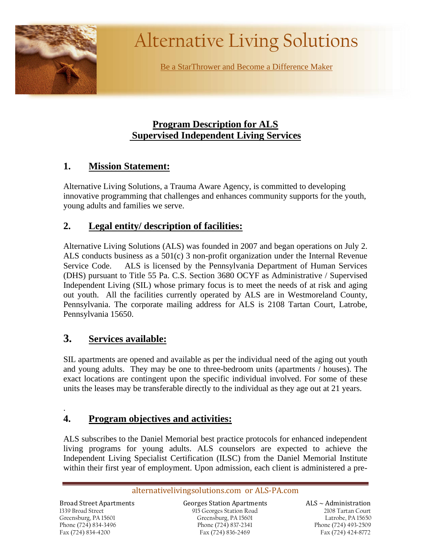

# Alternative Living Solutions

Be a StarThrower and Become a Difference Maker

# **Program Description for ALS Supervised Independent Living Services**

# **1. Mission Statement:**

Alternative Living Solutions, a Trauma Aware Agency, is committed to developing innovative programming that challenges and enhances community supports for the youth, young adults and families we serve.

# **2. Legal entity/ description of facilities:**

Alternative Living Solutions (ALS) was founded in 2007 and began operations on July 2. ALS conducts business as a  $501(c)$  3 non-profit organization under the Internal Revenue Service Code. ALS is licensed by the Pennsylvania Department of Human Services (DHS) pursuant to Title 55 Pa. C.S. Section 3680 OCYF as Administrative / Supervised Independent Living (SIL) whose primary focus is to meet the needs of at risk and aging out youth. All the facilities currently operated by ALS are in Westmoreland County, Pennsylvania. The corporate mailing address for ALS is 2108 Tartan Court, Latrobe, Pennsylvania 15650.

# **3. Services available:**

SIL apartments are opened and available as per the individual need of the aging out youth and young adults. They may be one to three-bedroom units (apartments / houses). The exact locations are contingent upon the specific individual involved. For some of these units the leases may be transferable directly to the individual as they age out at 21 years.

# **4. Program objectives and activities:**

ALS subscribes to the Daniel Memorial best practice protocols for enhanced independent living programs for young adults. ALS counselors are expected to achieve the Independent Living Specialist Certification (ILSC) from the Daniel Memorial Institute within their first year of employment. Upon admission, each client is administered a pre-

#### alternativelivingsolutions.com or ALS-PA.com

 Greensburg, PA 15601 1339 Broad Street Phone (724) 834~3496 Fax (724) 834~4200

.

Broad Street Apartments Georges Station Apartments ALS ~ Administration 915 Georges Station Road Greensburg, PA 15601 Phone (724) 837~2341 Fax (724) 836~2469

 $ALS \sim$  Administration 2108 Tartan Court Latrobe, PA 15650 Phone (724) 493~2509 Fax (724) 424~8772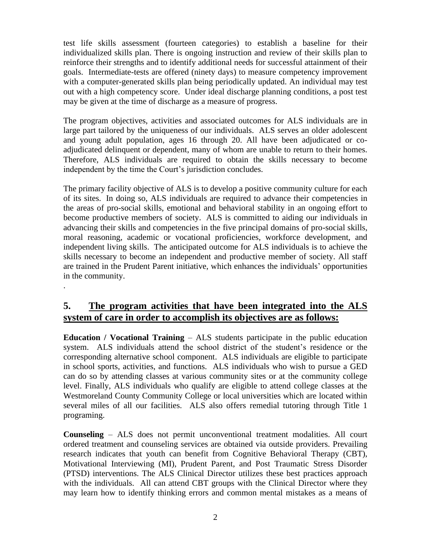test life skills assessment (fourteen categories) to establish a baseline for their individualized skills plan. There is ongoing instruction and review of their skills plan to reinforce their strengths and to identify additional needs for successful attainment of their goals. Intermediate-tests are offered (ninety days) to measure competency improvement with a computer-generated skills plan being periodically updated. An individual may test out with a high competency score. Under ideal discharge planning conditions, a post test may be given at the time of discharge as a measure of progress.

The program objectives, activities and associated outcomes for ALS individuals are in large part tailored by the uniqueness of our individuals. ALS serves an older adolescent and young adult population, ages 16 through 20. All have been adjudicated or coadjudicated delinquent or dependent, many of whom are unable to return to their homes. Therefore, ALS individuals are required to obtain the skills necessary to become independent by the time the Court's jurisdiction concludes.

The primary facility objective of ALS is to develop a positive community culture for each of its sites. In doing so, ALS individuals are required to advance their competencies in the areas of pro-social skills, emotional and behavioral stability in an ongoing effort to become productive members of society. ALS is committed to aiding our individuals in advancing their skills and competencies in the five principal domains of pro-social skills, moral reasoning, academic or vocational proficiencies, workforce development, and independent living skills. The anticipated outcome for ALS individuals is to achieve the skills necessary to become an independent and productive member of society. All staff are trained in the Prudent Parent initiative, which enhances the individuals' opportunities in the community.

## **5. The program activities that have been integrated into the ALS system of care in order to accomplish its objectives are as follows:**

.

**Education / Vocational Training** – ALS students participate in the public education system. ALS individuals attend the school district of the student's residence or the corresponding alternative school component. ALS individuals are eligible to participate in school sports, activities, and functions. ALS individuals who wish to pursue a GED can do so by attending classes at various community sites or at the community college level. Finally, ALS individuals who qualify are eligible to attend college classes at the Westmoreland County Community College or local universities which are located within several miles of all our facilities. ALS also offers remedial tutoring through Title 1 programing.

**Counseling** – ALS does not permit unconventional treatment modalities. All court ordered treatment and counseling services are obtained via outside providers. Prevailing research indicates that youth can benefit from Cognitive Behavioral Therapy (CBT), Motivational Interviewing (MI), Prudent Parent, and Post Traumatic Stress Disorder (PTSD) interventions. The ALS Clinical Director utilizes these best practices approach with the individuals. All can attend CBT groups with the Clinical Director where they may learn how to identify thinking errors and common mental mistakes as a means of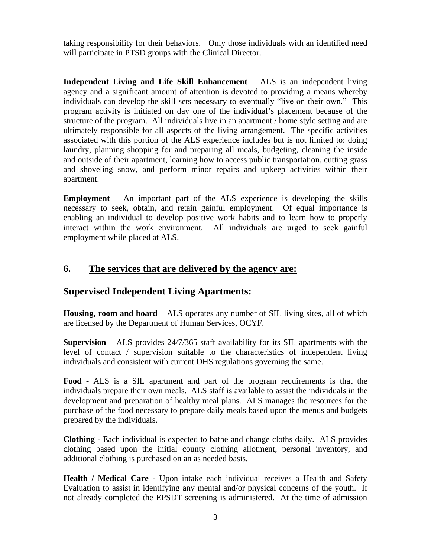taking responsibility for their behaviors. Only those individuals with an identified need will participate in PTSD groups with the Clinical Director.

**Independent Living and Life Skill Enhancement** – ALS is an independent living agency and a significant amount of attention is devoted to providing a means whereby individuals can develop the skill sets necessary to eventually "live on their own." This program activity is initiated on day one of the individual's placement because of the structure of the program. All individuals live in an apartment / home style setting and are ultimately responsible for all aspects of the living arrangement. The specific activities associated with this portion of the ALS experience includes but is not limited to: doing laundry, planning shopping for and preparing all meals, budgeting, cleaning the inside and outside of their apartment, learning how to access public transportation, cutting grass and shoveling snow, and perform minor repairs and upkeep activities within their apartment.

**Employment** – An important part of the ALS experience is developing the skills necessary to seek, obtain, and retain gainful employment. Of equal importance is enabling an individual to develop positive work habits and to learn how to properly interact within the work environment. All individuals are urged to seek gainful employment while placed at ALS.

## **6. The services that are delivered by the agency are:**

# **Supervised Independent Living Apartments:**

**Housing, room and board** – ALS operates any number of SIL living sites, all of which are licensed by the Department of Human Services, OCYF.

**Supervision** – ALS provides 24/7/365 staff availability for its SIL apartments with the level of contact / supervision suitable to the characteristics of independent living individuals and consistent with current DHS regulations governing the same.

**Food** - ALS is a SIL apartment and part of the program requirements is that the individuals prepare their own meals. ALS staff is available to assist the individuals in the development and preparation of healthy meal plans. ALS manages the resources for the purchase of the food necessary to prepare daily meals based upon the menus and budgets prepared by the individuals.

**Clothing** - Each individual is expected to bathe and change cloths daily. ALS provides clothing based upon the initial county clothing allotment, personal inventory, and additional clothing is purchased on an as needed basis.

**Health / Medical Care** - Upon intake each individual receives a Health and Safety Evaluation to assist in identifying any mental and/or physical concerns of the youth. If not already completed the EPSDT screening is administered. At the time of admission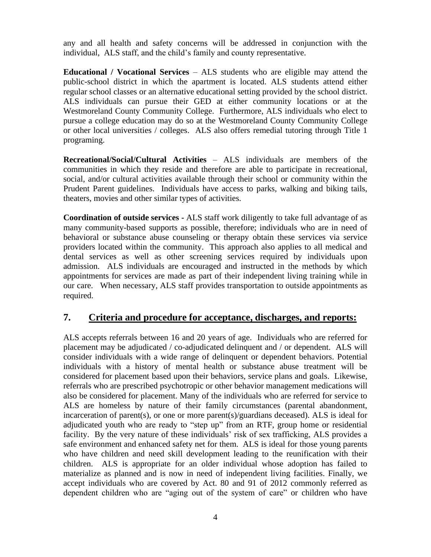any and all health and safety concerns will be addressed in conjunction with the individual, ALS staff, and the child's family and county representative.

**Educational / Vocational Services** – ALS students who are eligible may attend the public-school district in which the apartment is located. ALS students attend either regular school classes or an alternative educational setting provided by the school district. ALS individuals can pursue their GED at either community locations or at the Westmoreland County Community College. Furthermore, ALS individuals who elect to pursue a college education may do so at the Westmoreland County Community College or other local universities / colleges. ALS also offers remedial tutoring through Title 1 programing.

**Recreational/Social/Cultural Activities** – ALS individuals are members of the communities in which they reside and therefore are able to participate in recreational, social, and/or cultural activities available through their school or community within the Prudent Parent guidelines. Individuals have access to parks, walking and biking tails, theaters, movies and other similar types of activities.

**Coordination of outside services -** ALS staff work diligently to take full advantage of as many community-based supports as possible, therefore; individuals who are in need of behavioral or substance abuse counseling or therapy obtain these services via service providers located within the community. This approach also applies to all medical and dental services as well as other screening services required by individuals upon admission. ALS individuals are encouraged and instructed in the methods by which appointments for services are made as part of their independent living training while in our care. When necessary, ALS staff provides transportation to outside appointments as required.

#### **7. Criteria and procedure for acceptance, discharges, and reports:**

ALS accepts referrals between 16 and 20 years of age. Individuals who are referred for placement may be adjudicated / co-adjudicated delinquent and / or dependent. ALS will consider individuals with a wide range of delinquent or dependent behaviors. Potential individuals with a history of mental health or substance abuse treatment will be considered for placement based upon their behaviors, service plans and goals. Likewise, referrals who are prescribed psychotropic or other behavior management medications will also be considered for placement. Many of the individuals who are referred for service to ALS are homeless by nature of their family circumstances (parental abandonment, incarceration of parent(s), or one or more parent(s)/guardians deceased). ALS is ideal for adjudicated youth who are ready to "step up" from an RTF, group home or residential facility. By the very nature of these individuals' risk of sex trafficking, ALS provides a safe environment and enhanced safety net for them. ALS is ideal for those young parents who have children and need skill development leading to the reunification with their children. ALS is appropriate for an older individual whose adoption has failed to materialize as planned and is now in need of independent living facilities. Finally, we accept individuals who are covered by Act. 80 and 91 of 2012 commonly referred as dependent children who are "aging out of the system of care" or children who have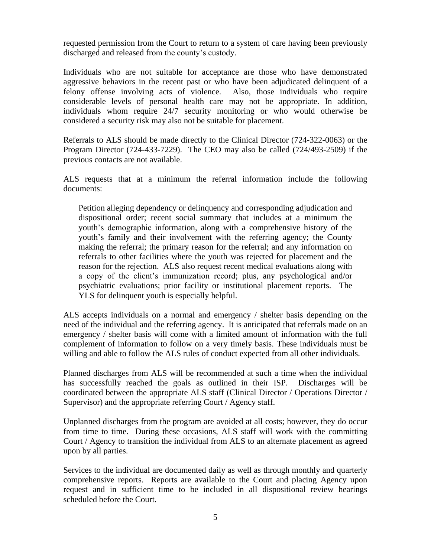requested permission from the Court to return to a system of care having been previously discharged and released from the county's custody.

Individuals who are not suitable for acceptance are those who have demonstrated aggressive behaviors in the recent past or who have been adjudicated delinquent of a felony offense involving acts of violence. Also, those individuals who require considerable levels of personal health care may not be appropriate. In addition, individuals whom require 24/7 security monitoring or who would otherwise be considered a security risk may also not be suitable for placement.

Referrals to ALS should be made directly to the Clinical Director (724-322-0063) or the Program Director (724-433-7229). The CEO may also be called (724/493-2509) if the previous contacts are not available.

ALS requests that at a minimum the referral information include the following documents:

Petition alleging dependency or delinquency and corresponding adjudication and dispositional order; recent social summary that includes at a minimum the youth's demographic information, along with a comprehensive history of the youth's family and their involvement with the referring agency; the County making the referral; the primary reason for the referral; and any information on referrals to other facilities where the youth was rejected for placement and the reason for the rejection. ALS also request recent medical evaluations along with a copy of the client's immunization record; plus, any psychological and/or psychiatric evaluations; prior facility or institutional placement reports. The YLS for delinquent youth is especially helpful.

ALS accepts individuals on a normal and emergency / shelter basis depending on the need of the individual and the referring agency. It is anticipated that referrals made on an emergency / shelter basis will come with a limited amount of information with the full complement of information to follow on a very timely basis. These individuals must be willing and able to follow the ALS rules of conduct expected from all other individuals.

Planned discharges from ALS will be recommended at such a time when the individual has successfully reached the goals as outlined in their ISP. Discharges will be coordinated between the appropriate ALS staff (Clinical Director / Operations Director / Supervisor) and the appropriate referring Court / Agency staff.

Unplanned discharges from the program are avoided at all costs; however, they do occur from time to time. During these occasions, ALS staff will work with the committing Court / Agency to transition the individual from ALS to an alternate placement as agreed upon by all parties.

Services to the individual are documented daily as well as through monthly and quarterly comprehensive reports. Reports are available to the Court and placing Agency upon request and in sufficient time to be included in all dispositional review hearings scheduled before the Court.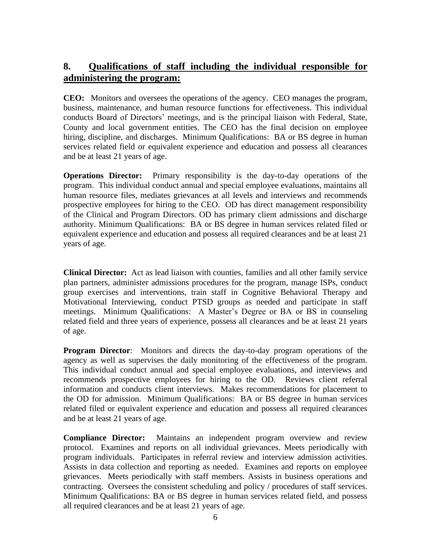## **8. Qualifications of staff including the individual responsible for administering the program:**

**CEO:** Monitors and oversees the operations of the agency. CEO manages the program, business, maintenance, and human resource functions for effectiveness. This individual conducts Board of Directors' meetings, and is the principal liaison with Federal, State, County and local government entities. The CEO has the final decision on employee hiring, discipline, and discharges. Minimum Qualifications: BA or BS degree in human services related field or equivalent experience and education and possess all clearances and be at least 21 years of age.

**Operations Director:** Primary responsibility is the day-to-day operations of the program. This individual conduct annual and special employee evaluations, maintains all human resource files, mediates grievances at all levels and interviews and recommends prospective employees for hiring to the CEO. OD has direct management responsibility of the Clinical and Program Directors. OD has primary client admissions and discharge authority. Minimum Qualifications: BA or BS degree in human services related filed or equivalent experience and education and possess all required clearances and be at least 21 years of age.

**Clinical Director:** Act as lead liaison with counties, families and all other family service plan partners, administer admissions procedures for the program, manage ISPs, conduct group exercises and interventions, train staff in Cognitive Behavioral Therapy and Motivational Interviewing, conduct PTSD groups as needed and participate in staff meetings. Minimum Qualifications: A Master's Degree or BA or BS in counseling related field and three years of experience, possess all clearances and be at least 21 years of age.

**Program Director**: Monitors and directs the day-to-day program operations of the agency as well as supervises the daily monitoring of the effectiveness of the program. This individual conduct annual and special employee evaluations, and interviews and recommends prospective employees for hiring to the OD. Reviews client referral information and conducts client interviews. Makes recommendations for placement to the OD for admission. Minimum Qualifications: BA or BS degree in human services related filed or equivalent experience and education and possess all required clearances and be at least 21 years of age.

**Compliance Director:** Maintains an independent program overview and review protocol. Examines and reports on all individual grievances. Meets periodically with program individuals. Participates in referral review and interview admission activities. Assists in data collection and reporting as needed. Examines and reports on employee grievances. Meets periodically with staff members. Assists in business operations and contracting. Oversees the consistent scheduling and policy / procedures of staff services. Minimum Qualifications: BA or BS degree in human services related field, and possess all required clearances and be at least 21 years of age.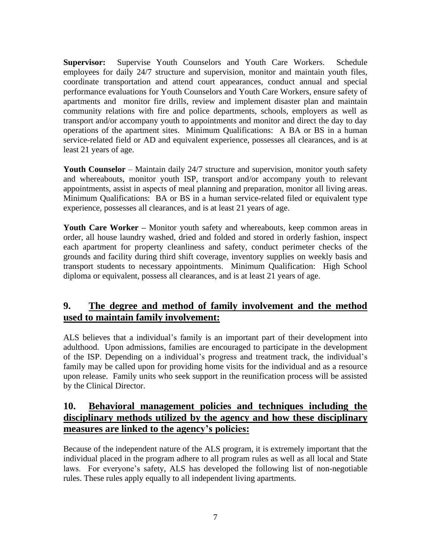**Supervisor:** Supervise Youth Counselors and Youth Care Workers. Schedule employees for daily 24/7 structure and supervision, monitor and maintain youth files, coordinate transportation and attend court appearances, conduct annual and special performance evaluations for Youth Counselors and Youth Care Workers, ensure safety of apartments and monitor fire drills, review and implement disaster plan and maintain community relations with fire and police departments, schools, employers as well as transport and/or accompany youth to appointments and monitor and direct the day to day operations of the apartment sites. Minimum Qualifications: A BA or BS in a human service-related field or AD and equivalent experience, possesses all clearances, and is at least 21 years of age.

**Youth Counselor** – Maintain daily 24/7 structure and supervision, monitor youth safety and whereabouts, monitor youth ISP, transport and/or accompany youth to relevant appointments, assist in aspects of meal planning and preparation, monitor all living areas. Minimum Qualifications: BA or BS in a human service-related filed or equivalent type experience, possesses all clearances, and is at least 21 years of age.

**Youth Care Worker –** Monitor youth safety and whereabouts, keep common areas in order, all house laundry washed, dried and folded and stored in orderly fashion, inspect each apartment for property cleanliness and safety, conduct perimeter checks of the grounds and facility during third shift coverage, inventory supplies on weekly basis and transport students to necessary appointments. Minimum Qualification: High School diploma or equivalent, possess all clearances, and is at least 21 years of age.

# **9. The degree and method of family involvement and the method used to maintain family involvement:**

ALS believes that a individual's family is an important part of their development into adulthood. Upon admissions, families are encouraged to participate in the development of the ISP. Depending on a individual's progress and treatment track, the individual's family may be called upon for providing home visits for the individual and as a resource upon release. Family units who seek support in the reunification process will be assisted by the Clinical Director.

## **10. Behavioral management policies and techniques including the disciplinary methods utilized by the agency and how these disciplinary measures are linked to the agency's policies:**

Because of the independent nature of the ALS program, it is extremely important that the individual placed in the program adhere to all program rules as well as all local and State laws. For everyone's safety, ALS has developed the following list of non-negotiable rules. These rules apply equally to all independent living apartments.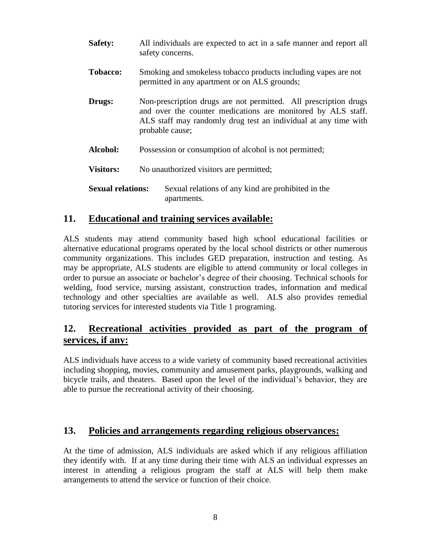| <b>Safety:</b>           | All individuals are expected to act in a safe manner and report all<br>safety concerns.                                                                                                                                |
|--------------------------|------------------------------------------------------------------------------------------------------------------------------------------------------------------------------------------------------------------------|
| <b>Tobacco:</b>          | Smoking and smokeless tobacco products including vapes are not<br>permitted in any apartment or on ALS grounds;                                                                                                        |
| Drugs:                   | Non-prescription drugs are not permitted. All prescription drugs<br>and over the counter medications are monitored by ALS staff.<br>ALS staff may randomly drug test an individual at any time with<br>probable cause; |
| Alcohol:                 | Possession or consumption of alcohol is not permitted;                                                                                                                                                                 |
| <b>Visitors:</b>         | No unauthorized visitors are permitted;                                                                                                                                                                                |
| <b>Sexual relations:</b> | Sexual relations of any kind are prohibited in the<br>apartments.                                                                                                                                                      |

#### **11. Educational and training services available:**

ALS students may attend community based high school educational facilities or alternative educational programs operated by the local school districts or other numerous community organizations. This includes GED preparation, instruction and testing. As may be appropriate, ALS students are eligible to attend community or local colleges in order to pursue an associate or bachelor's degree of their choosing. Technical schools for welding, food service, nursing assistant, construction trades, information and medical technology and other specialties are available as well. ALS also provides remedial tutoring services for interested students via Title 1 programing.

## **12. Recreational activities provided as part of the program of services, if any:**

ALS individuals have access to a wide variety of community based recreational activities including shopping, movies, community and amusement parks, playgrounds, walking and bicycle trails, and theaters. Based upon the level of the individual's behavior, they are able to pursue the recreational activity of their choosing.

#### **13. Policies and arrangements regarding religious observances:**

At the time of admission, ALS individuals are asked which if any religious affiliation they identify with. If at any time during their time with ALS an individual expresses an interest in attending a religious program the staff at ALS will help them make arrangements to attend the service or function of their choice.